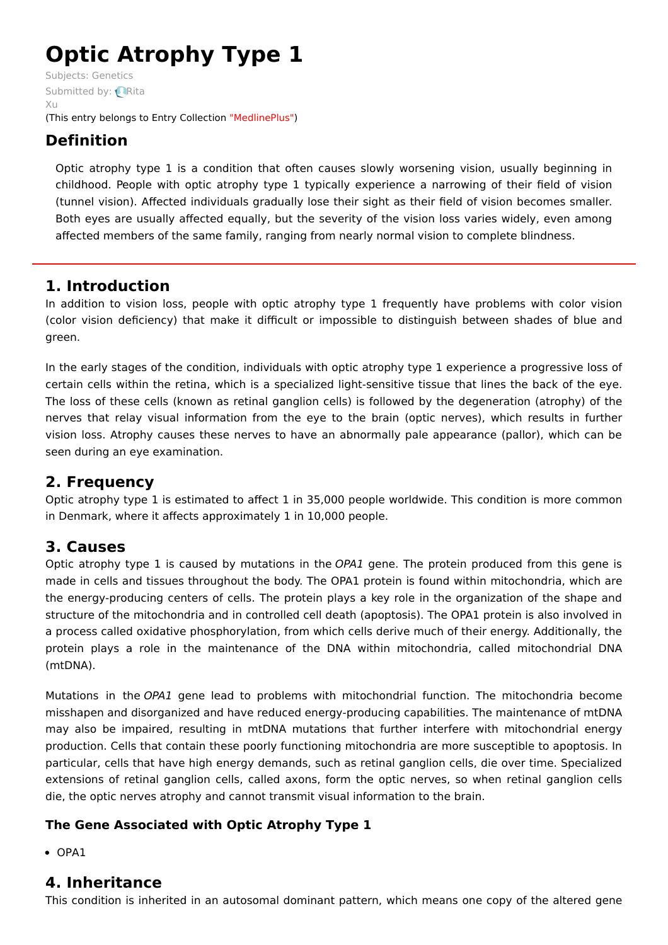# **Optic Atrophy Type 1**

Subjects: [Genetics](https://encyclopedia.pub/item/subject/56) [Submitted](https://sciprofiles.com/profile/915637) by: **Rita**  $X_{11}$ (This entry belongs to Entry Collection ["MedlinePlus"](https://encyclopedia.pub/entry/collection/24))

# **Definition**

Optic atrophy type 1 is a condition that often causes slowly worsening vision, usually beginning in childhood. People with optic atrophy type 1 typically experience a narrowing of their field of vision (tunnel vision). Affected individuals gradually lose their sight as their field of vision becomes smaller. Both eyes are usually affected equally, but the severity of the vision loss varies widely, even among affected members of the same family, ranging from nearly normal vision to complete blindness.

# **1. Introduction**

In addition to vision loss, people with optic atrophy type 1 frequently have problems with color vision (color vision deficiency) that make it difficult or impossible to distinguish between shades of blue and green.

In the early stages of the condition, individuals with optic atrophy type 1 experience a progressive loss of certain cells within the retina, which is a specialized light-sensitive tissue that lines the back of the eye. The loss of these cells (known as retinal ganglion cells) is followed by the degeneration (atrophy) of the nerves that relay visual information from the eye to the brain (optic nerves), which results in further vision loss. Atrophy causes these nerves to have an abnormally pale appearance (pallor), which can be seen during an eye examination.

# **2. Frequency**

Optic atrophy type 1 is estimated to affect 1 in 35,000 people worldwide. This condition is more common in Denmark, where it affects approximately 1 in 10,000 people.

# **3. Causes**

Optic atrophy type 1 is caused by mutations in the OPA1 gene. The protein produced from this gene is made in cells and tissues throughout the body. The OPA1 protein is found within mitochondria, which are the energy-producing centers of cells. The protein plays a key role in the organization of the shape and structure of the mitochondria and in controlled cell death (apoptosis). The OPA1 protein is also involved in a process called oxidative phosphorylation, from which cells derive much of their energy. Additionally, the protein plays a role in the maintenance of the DNA within mitochondria, called mitochondrial DNA (mtDNA).

Mutations in the OPA1 gene lead to problems with mitochondrial function. The mitochondria become misshapen and disorganized and have reduced energy-producing capabilities. The maintenance of mtDNA may also be impaired, resulting in mtDNA mutations that further interfere with mitochondrial energy production. Cells that contain these poorly functioning mitochondria are more susceptible to apoptosis. In particular, cells that have high energy demands, such as retinal ganglion cells, die over time. Specialized extensions of retinal ganglion cells, called axons, form the optic nerves, so when retinal ganglion cells die, the optic nerves atrophy and cannot transmit visual information to the brain.

## **The Gene Associated with Optic Atrophy Type 1**

• OPA1

# **4. Inheritance**

This condition is inherited in an autosomal dominant pattern, which means one copy of the altered gene